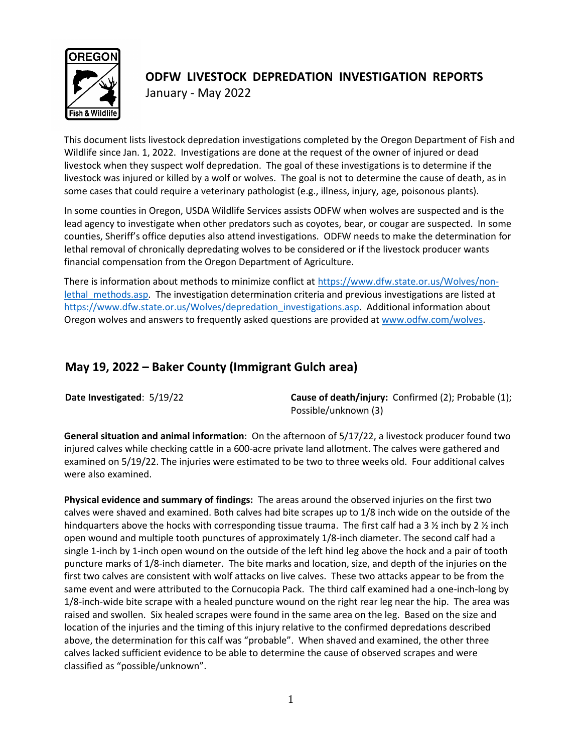

# **ODFW LIVESTOCK DEPREDATION INVESTIGATION REPORTS** January - May 2022

This document lists livestock depredation investigations completed by the Oregon Department of Fish and Wildlife since Jan. 1, 2022. Investigations are done at the request of the owner of injured or dead livestock when they suspect wolf depredation. The goal of these investigations is to determine if the livestock was injured or killed by a wolf or wolves. The goal is not to determine the cause of death, as in some cases that could require a veterinary pathologist (e.g., illness, injury, age, poisonous plants).

In some counties in Oregon, USDA Wildlife Services assists ODFW when wolves are suspected and is the lead agency to investigate when other predators such as coyotes, bear, or cougar are suspected. In some counties, Sheriff's office deputies also attend investigations. ODFW needs to make the determination for lethal removal of chronically depredating wolves to be considered or if the livestock producer wants financial compensation from the Oregon Department of Agriculture.

There is information about methods to minimize conflict at [https://www.dfw.state.or.us/Wolves/non](https://www.dfw.state.or.us/Wolves/non-lethal_methods.asp)lethal methods.asp. The investigation determination criteria and previous investigations are listed at [https://www.dfw.state.or.us/Wolves/depredation\\_investigations.asp.](https://www.dfw.state.or.us/Wolves/depredation_investigations.asp) Additional information about Oregon wolves and answers to frequently asked questions are provided a[t www.odfw.com/wolves.](http://www.odfw.com/wolves)

### **May 19, 2022 – Baker County (Immigrant Gulch area)**

**Date Investigated:** 5/19/22 **Cause of death/injury:** Confirmed (2); Probable (1); Possible/unknown (3)

**General situation and animal information**: On the afternoon of 5/17/22, a livestock producer found two injured calves while checking cattle in a 600-acre private land allotment. The calves were gathered and examined on 5/19/22. The injuries were estimated to be two to three weeks old. Four additional calves were also examined.

**Physical evidence and summary of findings:** The areas around the observed injuries on the first two calves were shaved and examined. Both calves had bite scrapes up to 1/8 inch wide on the outside of the hindquarters above the hocks with corresponding tissue trauma. The first calf had a 3  $\frac{1}{2}$  inch by 2  $\frac{1}{2}$  inch open wound and multiple tooth punctures of approximately 1/8-inch diameter. The second calf had a single 1-inch by 1-inch open wound on the outside of the left hind leg above the hock and a pair of tooth puncture marks of 1/8-inch diameter. The bite marks and location, size, and depth of the injuries on the first two calves are consistent with wolf attacks on live calves. These two attacks appear to be from the same event and were attributed to the Cornucopia Pack. The third calf examined had a one-inch-long by 1/8-inch-wide bite scrape with a healed puncture wound on the right rear leg near the hip. The area was raised and swollen. Six healed scrapes were found in the same area on the leg. Based on the size and location of the injuries and the timing of this injury relative to the confirmed depredations described above, the determination for this calf was "probable". When shaved and examined, the other three calves lacked sufficient evidence to be able to determine the cause of observed scrapes and were classified as "possible/unknown".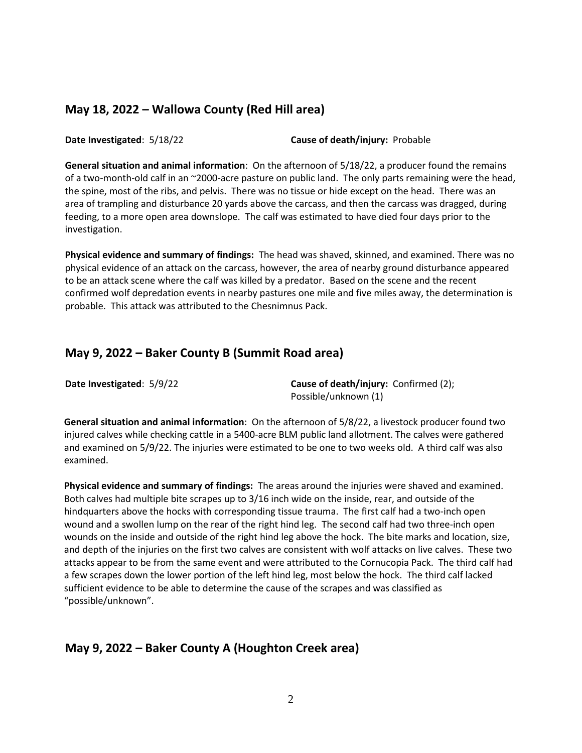#### **May 18, 2022 – Wallowa County (Red Hill area)**

**Date Investigated**: 5/18/22 **Cause of death/injury:** Probable

**General situation and animal information**: On the afternoon of 5/18/22, a producer found the remains of a two-month-old calf in an ~2000-acre pasture on public land. The only parts remaining were the head, the spine, most of the ribs, and pelvis. There was no tissue or hide except on the head. There was an area of trampling and disturbance 20 yards above the carcass, and then the carcass was dragged, during feeding, to a more open area downslope. The calf was estimated to have died four days prior to the investigation.

**Physical evidence and summary of findings:** The head was shaved, skinned, and examined. There was no physical evidence of an attack on the carcass, however, the area of nearby ground disturbance appeared to be an attack scene where the calf was killed by a predator. Based on the scene and the recent confirmed wolf depredation events in nearby pastures one mile and five miles away, the determination is probable. This attack was attributed to the Chesnimnus Pack.

#### **May 9, 2022 – Baker County B (Summit Road area)**

**Date Investigated:**  $5/9/22$  **Cause of death/injury:** Confirmed (2); Possible/unknown (1)

**General situation and animal information**: On the afternoon of 5/8/22, a livestock producer found two injured calves while checking cattle in a 5400-acre BLM public land allotment. The calves were gathered and examined on 5/9/22. The injuries were estimated to be one to two weeks old. A third calf was also examined.

**Physical evidence and summary of findings:** The areas around the injuries were shaved and examined. Both calves had multiple bite scrapes up to 3/16 inch wide on the inside, rear, and outside of the hindquarters above the hocks with corresponding tissue trauma. The first calf had a two-inch open wound and a swollen lump on the rear of the right hind leg. The second calf had two three-inch open wounds on the inside and outside of the right hind leg above the hock. The bite marks and location, size, and depth of the injuries on the first two calves are consistent with wolf attacks on live calves. These two attacks appear to be from the same event and were attributed to the Cornucopia Pack. The third calf had a few scrapes down the lower portion of the left hind leg, most below the hock. The third calf lacked sufficient evidence to be able to determine the cause of the scrapes and was classified as "possible/unknown".

### **May 9, 2022 – Baker County A (Houghton Creek area)**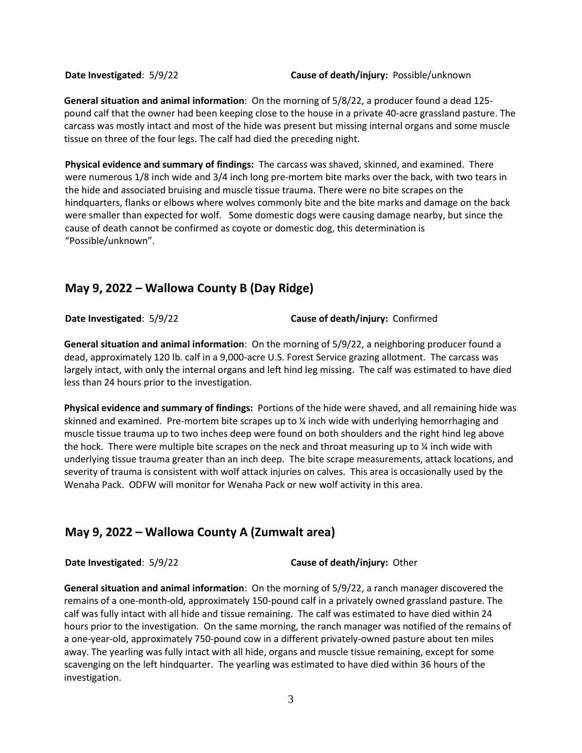**General situation and animal information**: On the morning of 5/8/22, a producer found a dead 125 pound calf that the owner had been keeping close to the house in a private 40-acre grassland pasture. The carcass was mostly intact and most of the hide was present but missing internal organs and some muscle tissue on three of the four legs. The calf had died the preceding night.

**Physical evidence and summary of findings:** The carcass was shaved, skinned, and examined. There were numerous 1/8 inch wide and 3/4 inch long pre-mortem bite marks over the back, with two tears in the hide and associated bruising and muscle tissue trauma. There were no bite scrapes on the hindquarters, flanks or elbows where wolves commonly bite and the bite marks and damage on the back were smaller than expected for wolf. Some domestic dogs were causing damage nearby, but since the cause of death cannot be confirmed as coyote or domestic dog, this determination is "Possible/unknown".

## **May 9, 2022 – Wallowa County B (Day Ridge)**

**Date Investigated**: 5/9/22 **Cause of death/injury:** Confirmed

**General situation and animal information**: On the morning of 5/9/22, a neighboring producer found a dead, approximately 120 lb. calf in a 9,000-acre U.S. Forest Service grazing allotment. The carcass was largely intact, with only the internal organs and left hind leg missing. The calf was estimated to have died less than 24 hours prior to the investigation.

**Physical evidence and summary of findings:** Portions of the hide were shaved, and all remaining hide was skinned and examined. Pre-mortem bite scrapes up to ¼ inch wide with underlying hemorrhaging and muscle tissue trauma up to two inches deep were found on both shoulders and the right hind leg above the hock. There were multiple bite scrapes on the neck and throat measuring up to  $\chi$  inch wide with underlying tissue trauma greater than an inch deep. The bite scrape measurements, attack locations, and severity of trauma is consistent with wolf attack injuries on calves. This area is occasionally used by the Wenaha Pack. ODFW will monitor for Wenaha Pack or new wolf activity in this area.

### **May 9, 2022 – Wallowa County A (Zumwalt area)**

**Date Investigated**: 5/9/22 **Cause of death/injury:** Other

**General situation and animal information**: On the morning of 5/9/22, a ranch manager discovered the remains of a one-month-old, approximately 150-pound calf in a privately owned grassland pasture. The calf was fully intact with all hide and tissue remaining. The calf was estimated to have died within 24 hours prior to the investigation. On the same morning, the ranch manager was notified of the remains of a one-year-old, approximately 750-pound cow in a different privately-owned pasture about ten miles away. The yearling was fully intact with all hide, organs and muscle tissue remaining, except for some scavenging on the left hindquarter. The yearling was estimated to have died within 36 hours of the investigation.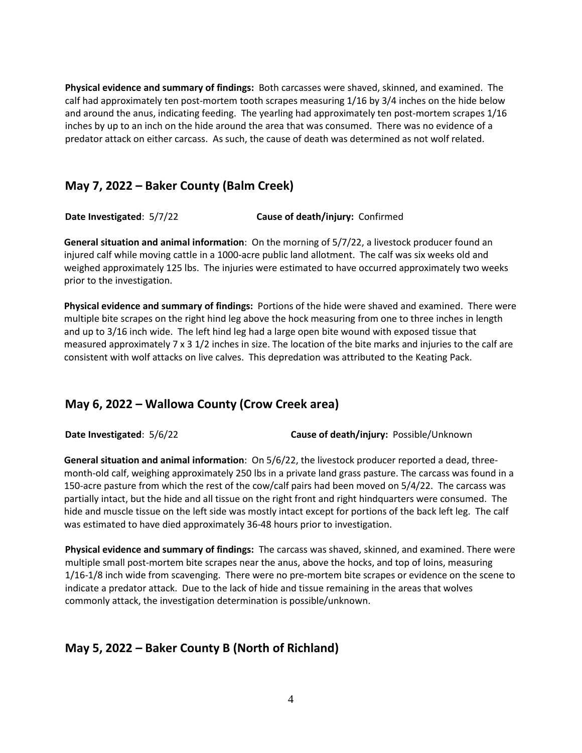**Physical evidence and summary of findings:** Both carcasses were shaved, skinned, and examined. The calf had approximately ten post-mortem tooth scrapes measuring 1/16 by 3/4 inches on the hide below and around the anus, indicating feeding. The yearling had approximately ten post-mortem scrapes 1/16 inches by up to an inch on the hide around the area that was consumed. There was no evidence of a predator attack on either carcass. As such, the cause of death was determined as not wolf related.

#### **May 7, 2022 – Baker County (Balm Creek)**

**Date Investigated**: 5/7/22 **Cause of death/injury:** Confirmed

**General situation and animal information**: On the morning of 5/7/22, a livestock producer found an injured calf while moving cattle in a 1000-acre public land allotment. The calf was six weeks old and weighed approximately 125 lbs. The injuries were estimated to have occurred approximately two weeks prior to the investigation.

**Physical evidence and summary of findings:** Portions of the hide were shaved and examined. There were multiple bite scrapes on the right hind leg above the hock measuring from one to three inches in length and up to 3/16 inch wide. The left hind leg had a large open bite wound with exposed tissue that measured approximately 7 x 3 1/2 inches in size. The location of the bite marks and injuries to the calf are consistent with wolf attacks on live calves. This depredation was attributed to the Keating Pack.

### **May 6, 2022 – Wallowa County (Crow Creek area)**

**Date Investigated**: 5/6/22 **Cause of death/injury:** Possible/Unknown

**General situation and animal information**: On 5/6/22, the livestock producer reported a dead, threemonth-old calf, weighing approximately 250 lbs in a private land grass pasture. The carcass was found in a 150-acre pasture from which the rest of the cow/calf pairs had been moved on 5/4/22. The carcass was partially intact, but the hide and all tissue on the right front and right hindquarters were consumed. The hide and muscle tissue on the left side was mostly intact except for portions of the back left leg. The calf was estimated to have died approximately 36-48 hours prior to investigation.

**Physical evidence and summary of findings:** The carcass was shaved, skinned, and examined. There were multiple small post-mortem bite scrapes near the anus, above the hocks, and top of loins, measuring 1/16-1/8 inch wide from scavenging. There were no pre-mortem bite scrapes or evidence on the scene to indicate a predator attack. Due to the lack of hide and tissue remaining in the areas that wolves commonly attack, the investigation determination is possible/unknown.

### **May 5, 2022 – Baker County B (North of Richland)**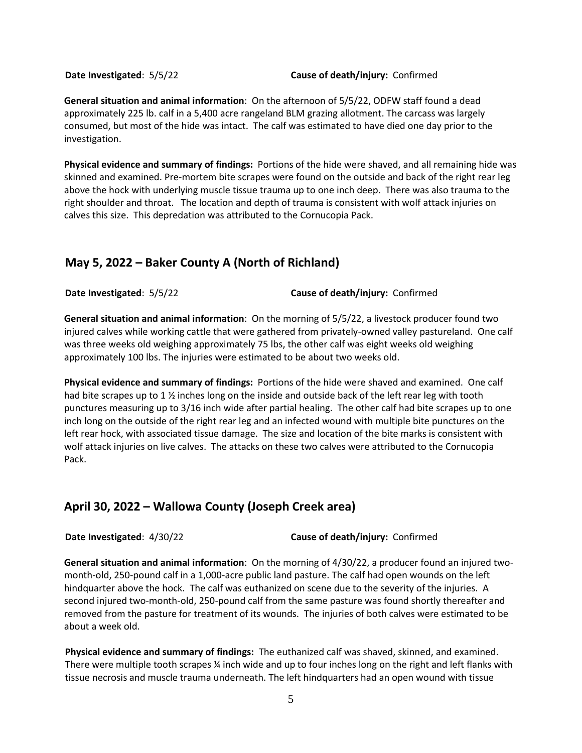**Date Investigated**: 5/5/22 **Cause of death/injury:** Confirmed

**General situation and animal information**: On the afternoon of 5/5/22, ODFW staff found a dead approximately 225 lb. calf in a 5,400 acre rangeland BLM grazing allotment. The carcass was largely consumed, but most of the hide was intact. The calf was estimated to have died one day prior to the investigation.

**Physical evidence and summary of findings:** Portions of the hide were shaved, and all remaining hide was skinned and examined. Pre-mortem bite scrapes were found on the outside and back of the right rear leg above the hock with underlying muscle tissue trauma up to one inch deep. There was also trauma to the right shoulder and throat. The location and depth of trauma is consistent with wolf attack injuries on calves this size. This depredation was attributed to the Cornucopia Pack.

#### **May 5, 2022 – Baker County A (North of Richland)**

**Date Investigated**: 5/5/22 **Cause of death/injury:** Confirmed

**General situation and animal information**: On the morning of 5/5/22, a livestock producer found two injured calves while working cattle that were gathered from privately-owned valley pastureland. One calf was three weeks old weighing approximately 75 lbs, the other calf was eight weeks old weighing approximately 100 lbs. The injuries were estimated to be about two weeks old.

**Physical evidence and summary of findings:** Portions of the hide were shaved and examined. One calf had bite scrapes up to 1  $\frac{1}{2}$  inches long on the inside and outside back of the left rear leg with tooth punctures measuring up to 3/16 inch wide after partial healing. The other calf had bite scrapes up to one inch long on the outside of the right rear leg and an infected wound with multiple bite punctures on the left rear hock, with associated tissue damage. The size and location of the bite marks is consistent with wolf attack injuries on live calves. The attacks on these two calves were attributed to the Cornucopia Pack.

### **April 30, 2022 – Wallowa County (Joseph Creek area)**

**Date Investigated**: 4/30/22 **Cause of death/injury:** Confirmed

**General situation and animal information**: On the morning of 4/30/22, a producer found an injured twomonth-old, 250-pound calf in a 1,000-acre public land pasture. The calf had open wounds on the left hindquarter above the hock. The calf was euthanized on scene due to the severity of the injuries. A second injured two-month-old, 250-pound calf from the same pasture was found shortly thereafter and removed from the pasture for treatment of its wounds. The injuries of both calves were estimated to be about a week old.

**Physical evidence and summary of findings:** The euthanized calf was shaved, skinned, and examined. There were multiple tooth scrapes ¼ inch wide and up to four inches long on the right and left flanks with tissue necrosis and muscle trauma underneath. The left hindquarters had an open wound with tissue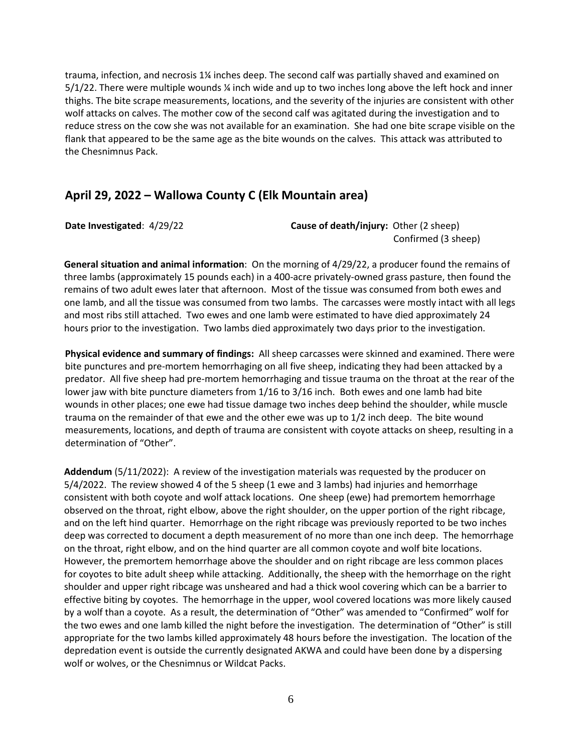trauma, infection, and necrosis 1¼ inches deep. The second calf was partially shaved and examined on 5/1/22. There were multiple wounds ¼ inch wide and up to two inches long above the left hock and inner thighs. The bite scrape measurements, locations, and the severity of the injuries are consistent with other wolf attacks on calves. The mother cow of the second calf was agitated during the investigation and to reduce stress on the cow she was not available for an examination. She had one bite scrape visible on the flank that appeared to be the same age as the bite wounds on the calves. This attack was attributed to the Chesnimnus Pack.

#### **April 29, 2022 – Wallowa County C (Elk Mountain area)**

**Date Investigated**: 4/29/22 **Cause of death/injury:** Other (2 sheep) Confirmed (3 sheep)

**General situation and animal information**: On the morning of 4/29/22, a producer found the remains of three lambs (approximately 15 pounds each) in a 400-acre privately-owned grass pasture, then found the remains of two adult ewes later that afternoon. Most of the tissue was consumed from both ewes and one lamb, and all the tissue was consumed from two lambs. The carcasses were mostly intact with all legs and most ribs still attached. Two ewes and one lamb were estimated to have died approximately 24 hours prior to the investigation. Two lambs died approximately two days prior to the investigation.

**Physical evidence and summary of findings:** All sheep carcasses were skinned and examined. There were bite punctures and pre-mortem hemorrhaging on all five sheep, indicating they had been attacked by a predator. All five sheep had pre-mortem hemorrhaging and tissue trauma on the throat at the rear of the lower jaw with bite puncture diameters from 1/16 to 3/16 inch. Both ewes and one lamb had bite wounds in other places; one ewe had tissue damage two inches deep behind the shoulder, while muscle trauma on the remainder of that ewe and the other ewe was up to 1/2 inch deep. The bite wound measurements, locations, and depth of trauma are consistent with coyote attacks on sheep, resulting in a determination of "Other".

**Addendum** (5/11/2022): A review of the investigation materials was requested by the producer on 5/4/2022. The review showed 4 of the 5 sheep (1 ewe and 3 lambs) had injuries and hemorrhage consistent with both coyote and wolf attack locations. One sheep (ewe) had premortem hemorrhage observed on the throat, right elbow, above the right shoulder, on the upper portion of the right ribcage, and on the left hind quarter. Hemorrhage on the right ribcage was previously reported to be two inches deep was corrected to document a depth measurement of no more than one inch deep. The hemorrhage on the throat, right elbow, and on the hind quarter are all common coyote and wolf bite locations. However, the premortem hemorrhage above the shoulder and on right ribcage are less common places for coyotes to bite adult sheep while attacking. Additionally, the sheep with the hemorrhage on the right shoulder and upper right ribcage was unsheared and had a thick wool covering which can be a barrier to effective biting by coyotes. The hemorrhage in the upper, wool covered locations was more likely caused by a wolf than a coyote. As a result, the determination of "Other" was amended to "Confirmed" wolf for the two ewes and one lamb killed the night before the investigation. The determination of "Other" is still appropriate for the two lambs killed approximately 48 hours before the investigation. The location of the depredation event is outside the currently designated AKWA and could have been done by a dispersing wolf or wolves, or the Chesnimnus or Wildcat Packs.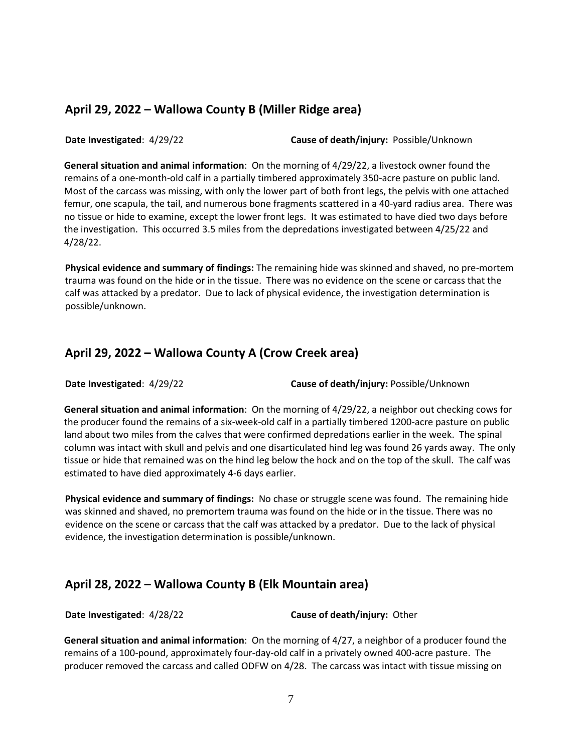### **April 29, 2022 – Wallowa County B (Miller Ridge area)**

**Date Investigated**: 4/29/22 **Cause of death/injury:** Possible/Unknown

**General situation and animal information**: On the morning of 4/29/22, a livestock owner found the remains of a one-month-old calf in a partially timbered approximately 350-acre pasture on public land. Most of the carcass was missing, with only the lower part of both front legs, the pelvis with one attached femur, one scapula, the tail, and numerous bone fragments scattered in a 40-yard radius area. There was no tissue or hide to examine, except the lower front legs. It was estimated to have died two days before the investigation. This occurred 3.5 miles from the depredations investigated between 4/25/22 and 4/28/22.

**Physical evidence and summary of findings:** The remaining hide was skinned and shaved, no pre-mortem trauma was found on the hide or in the tissue. There was no evidence on the scene or carcass that the calf was attacked by a predator. Due to lack of physical evidence, the investigation determination is possible/unknown.

#### **April 29, 2022 – Wallowa County A (Crow Creek area)**

**Date Investigated**: 4/29/22 **Cause of death/injury:** Possible/Unknown

**General situation and animal information**: On the morning of 4/29/22, a neighbor out checking cows for the producer found the remains of a six-week-old calf in a partially timbered 1200-acre pasture on public land about two miles from the calves that were confirmed depredations earlier in the week. The spinal column was intact with skull and pelvis and one disarticulated hind leg was found 26 yards away. The only tissue or hide that remained was on the hind leg below the hock and on the top of the skull. The calf was estimated to have died approximately 4-6 days earlier.

**Physical evidence and summary of findings:** No chase or struggle scene was found. The remaining hide was skinned and shaved, no premortem trauma was found on the hide or in the tissue. There was no evidence on the scene or carcass that the calf was attacked by a predator. Due to the lack of physical evidence, the investigation determination is possible/unknown.

# **April 28, 2022 – Wallowa County B (Elk Mountain area)**

**Date Investigated**: 4/28/22 **Cause of death/injury:** Other

**General situation and animal information**: On the morning of 4/27, a neighbor of a producer found the remains of a 100-pound, approximately four-day-old calf in a privately owned 400-acre pasture. The producer removed the carcass and called ODFW on 4/28. The carcass was intact with tissue missing on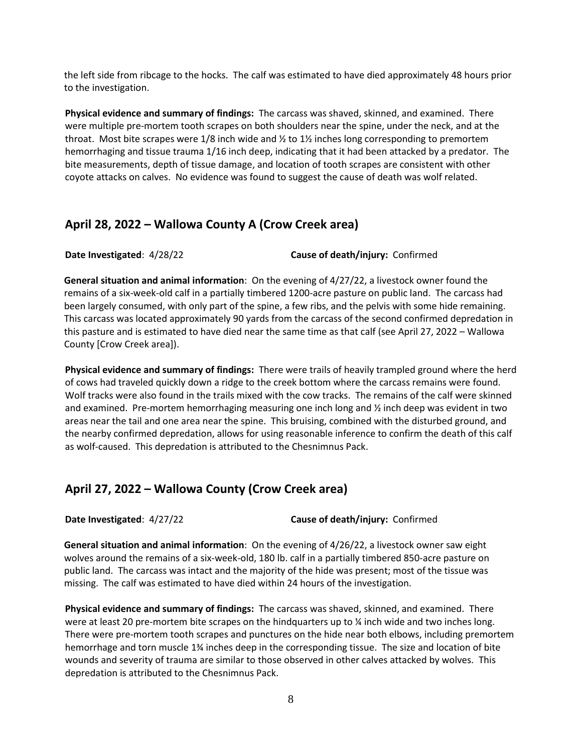the left side from ribcage to the hocks. The calf was estimated to have died approximately 48 hours prior to the investigation.

**Physical evidence and summary of findings:** The carcass was shaved, skinned, and examined. There were multiple pre-mortem tooth scrapes on both shoulders near the spine, under the neck, and at the throat. Most bite scrapes were  $1/8$  inch wide and  $\frac{1}{2}$  to  $1\frac{1}{2}$  inches long corresponding to premortem hemorrhaging and tissue trauma 1/16 inch deep, indicating that it had been attacked by a predator. The bite measurements, depth of tissue damage, and location of tooth scrapes are consistent with other coyote attacks on calves. No evidence was found to suggest the cause of death was wolf related.

#### **April 28, 2022 – Wallowa County A (Crow Creek area)**

**Date Investigated**: 4/28/22 **Cause of death/injury:** Confirmed

**General situation and animal information**: On the evening of 4/27/22, a livestock owner found the remains of a six-week-old calf in a partially timbered 1200-acre pasture on public land. The carcass had been largely consumed, with only part of the spine, a few ribs, and the pelvis with some hide remaining. This carcass was located approximately 90 yards from the carcass of the second confirmed depredation in this pasture and is estimated to have died near the same time as that calf (see April 27, 2022 – Wallowa County [Crow Creek area]).

**Physical evidence and summary of findings:** There were trails of heavily trampled ground where the herd of cows had traveled quickly down a ridge to the creek bottom where the carcass remains were found. Wolf tracks were also found in the trails mixed with the cow tracks. The remains of the calf were skinned and examined. Pre-mortem hemorrhaging measuring one inch long and ½ inch deep was evident in two areas near the tail and one area near the spine. This bruising, combined with the disturbed ground, and the nearby confirmed depredation, allows for using reasonable inference to confirm the death of this calf as wolf-caused. This depredation is attributed to the Chesnimnus Pack.

#### **April 27, 2022 – Wallowa County (Crow Creek area)**

**Date Investigated**: 4/27/22 **Cause of death/injury:** Confirmed

**General situation and animal information**: On the evening of 4/26/22, a livestock owner saw eight wolves around the remains of a six-week-old, 180 lb. calf in a partially timbered 850-acre pasture on public land. The carcass was intact and the majority of the hide was present; most of the tissue was missing. The calf was estimated to have died within 24 hours of the investigation.

**Physical evidence and summary of findings:** The carcass was shaved, skinned, and examined. There were at least 20 pre-mortem bite scrapes on the hindquarters up to  $\frac{1}{2}$  inch wide and two inches long. There were pre-mortem tooth scrapes and punctures on the hide near both elbows, including premortem hemorrhage and torn muscle 1¾ inches deep in the corresponding tissue. The size and location of bite wounds and severity of trauma are similar to those observed in other calves attacked by wolves. This depredation is attributed to the Chesnimnus Pack.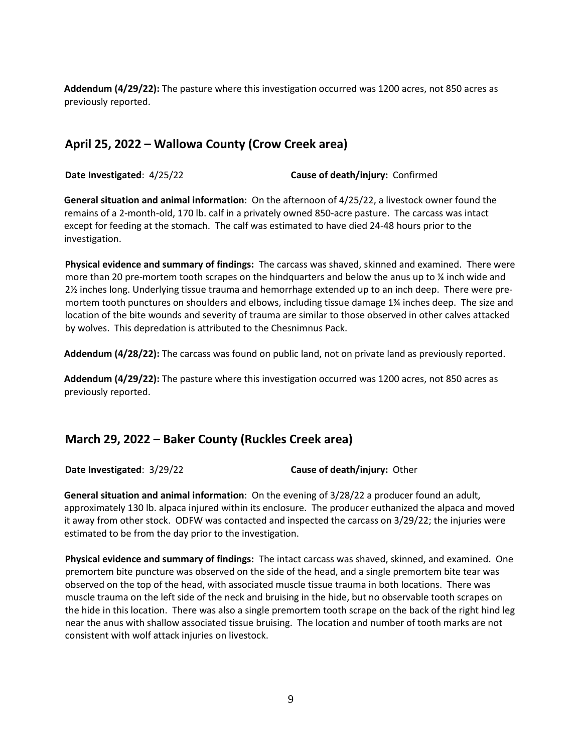**Addendum (4/29/22):** The pasture where this investigation occurred was 1200 acres, not 850 acres as previously reported.

### **April 25, 2022 – Wallowa County (Crow Creek area)**

**Date Investigated**: 4/25/22 **Cause of death/injury:** Confirmed

**General situation and animal information**: On the afternoon of 4/25/22, a livestock owner found the remains of a 2-month-old, 170 lb. calf in a privately owned 850-acre pasture. The carcass was intact except for feeding at the stomach. The calf was estimated to have died 24-48 hours prior to the investigation.

**Physical evidence and summary of findings:** The carcass was shaved, skinned and examined. There were more than 20 pre-mortem tooth scrapes on the hindquarters and below the anus up to  $\frac{1}{4}$  inch wide and 2½ inches long. Underlying tissue trauma and hemorrhage extended up to an inch deep. There were premortem tooth punctures on shoulders and elbows, including tissue damage 1¾ inches deep. The size and location of the bite wounds and severity of trauma are similar to those observed in other calves attacked by wolves. This depredation is attributed to the Chesnimnus Pack.

**Addendum (4/28/22):** The carcass was found on public land, not on private land as previously reported.

**Addendum (4/29/22):** The pasture where this investigation occurred was 1200 acres, not 850 acres as previously reported.

#### **March 29, 2022 – Baker County (Ruckles Creek area)**

**Date Investigated**: 3/29/22 **Cause of death/injury:** Other

**General situation and animal information**: On the evening of 3/28/22 a producer found an adult, approximately 130 lb. alpaca injured within its enclosure. The producer euthanized the alpaca and moved it away from other stock. ODFW was contacted and inspected the carcass on 3/29/22; the injuries were estimated to be from the day prior to the investigation.

**Physical evidence and summary of findings:** The intact carcass was shaved, skinned, and examined. One premortem bite puncture was observed on the side of the head, and a single premortem bite tear was observed on the top of the head, with associated muscle tissue trauma in both locations. There was muscle trauma on the left side of the neck and bruising in the hide, but no observable tooth scrapes on the hide in this location. There was also a single premortem tooth scrape on the back of the right hind leg near the anus with shallow associated tissue bruising. The location and number of tooth marks are not consistent with wolf attack injuries on livestock.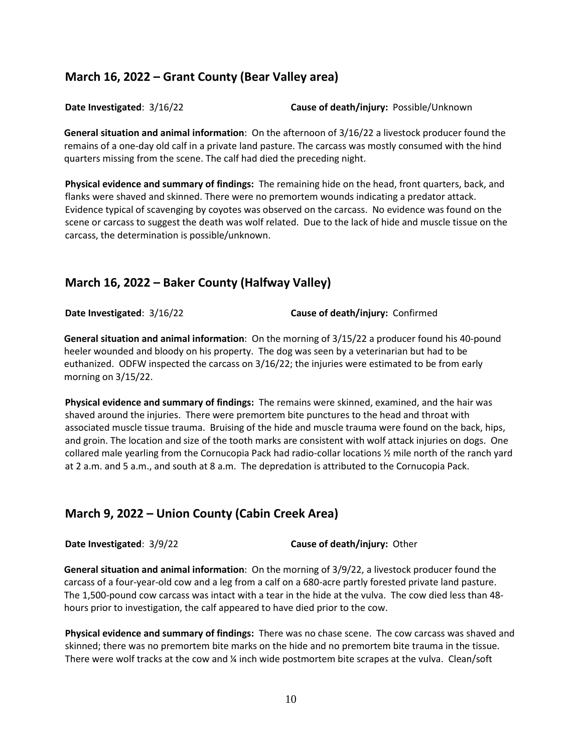### **March 16, 2022 – Grant County (Bear Valley area)**

**Date Investigated**: 3/16/22 **Cause of death/injury:** Possible/Unknown

**General situation and animal information**: On the afternoon of 3/16/22 a livestock producer found the remains of a one-day old calf in a private land pasture. The carcass was mostly consumed with the hind quarters missing from the scene. The calf had died the preceding night.

**Physical evidence and summary of findings:** The remaining hide on the head, front quarters, back, and flanks were shaved and skinned. There were no premortem wounds indicating a predator attack. Evidence typical of scavenging by coyotes was observed on the carcass. No evidence was found on the scene or carcass to suggest the death was wolf related. Due to the lack of hide and muscle tissue on the carcass, the determination is possible/unknown.

#### **March 16, 2022 – Baker County (Halfway Valley)**

**Date Investigated**: 3/16/22 **Cause of death/injury:** Confirmed

**General situation and animal information**: On the morning of 3/15/22 a producer found his 40-pound heeler wounded and bloody on his property. The dog was seen by a veterinarian but had to be euthanized. ODFW inspected the carcass on 3/16/22; the injuries were estimated to be from early morning on 3/15/22.

**Physical evidence and summary of findings:** The remains were skinned, examined, and the hair was shaved around the injuries. There were premortem bite punctures to the head and throat with associated muscle tissue trauma. Bruising of the hide and muscle trauma were found on the back, hips, and groin. The location and size of the tooth marks are consistent with wolf attack injuries on dogs. One collared male yearling from the Cornucopia Pack had radio-collar locations ½ mile north of the ranch yard at 2 a.m. and 5 a.m., and south at 8 a.m. The depredation is attributed to the Cornucopia Pack.

### **March 9, 2022 – Union County (Cabin Creek Area)**

**Date Investigated**: 3/9/22 **Cause of death/injury:** Other

**General situation and animal information**: On the morning of 3/9/22, a livestock producer found the carcass of a four-year-old cow and a leg from a calf on a 680-acre partly forested private land pasture. The 1,500-pound cow carcass was intact with a tear in the hide at the vulva. The cow died less than 48 hours prior to investigation, the calf appeared to have died prior to the cow.

**Physical evidence and summary of findings:** There was no chase scene. The cow carcass was shaved and skinned; there was no premortem bite marks on the hide and no premortem bite trauma in the tissue. There were wolf tracks at the cow and ¼ inch wide postmortem bite scrapes at the vulva. Clean/soft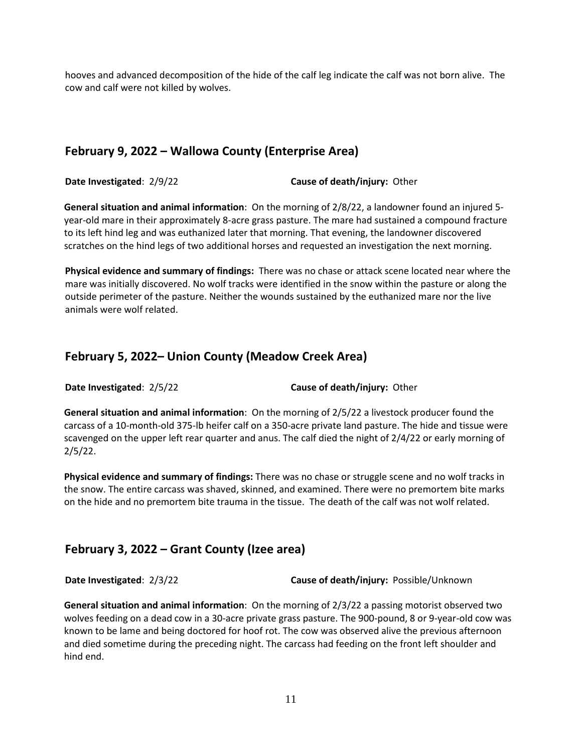hooves and advanced decomposition of the hide of the calf leg indicate the calf was not born alive. The cow and calf were not killed by wolves.

### **February 9, 2022 – Wallowa County (Enterprise Area)**

**Date Investigated**: 2/9/22 **Cause of death/injury:** Other

**General situation and animal information**: On the morning of 2/8/22, a landowner found an injured 5 year-old mare in their approximately 8-acre grass pasture. The mare had sustained a compound fracture to its left hind leg and was euthanized later that morning. That evening, the landowner discovered scratches on the hind legs of two additional horses and requested an investigation the next morning.

**Physical evidence and summary of findings:** There was no chase or attack scene located near where the mare was initially discovered. No wolf tracks were identified in the snow within the pasture or along the outside perimeter of the pasture. Neither the wounds sustained by the euthanized mare nor the live animals were wolf related.

### **February 5, 2022– Union County (Meadow Creek Area)**

**Date Investigated**: 2/5/22 **Cause of death/injury:** Other

**General situation and animal information**: On the morning of 2/5/22 a livestock producer found the carcass of a 10-month-old 375-lb heifer calf on a 350-acre private land pasture. The hide and tissue were scavenged on the upper left rear quarter and anus. The calf died the night of 2/4/22 or early morning of 2/5/22.

**Physical evidence and summary of findings:** There was no chase or struggle scene and no wolf tracks in the snow. The entire carcass was shaved, skinned, and examined. There were no premortem bite marks on the hide and no premortem bite trauma in the tissue. The death of the calf was not wolf related.

### **February 3, 2022 – Grant County (Izee area)**

**Date Investigated**: 2/3/22 **Cause of death/injury:** Possible/Unknown

**General situation and animal information**: On the morning of 2/3/22 a passing motorist observed two wolves feeding on a dead cow in a 30-acre private grass pasture. The 900-pound, 8 or 9-year-old cow was known to be lame and being doctored for hoof rot. The cow was observed alive the previous afternoon and died sometime during the preceding night. The carcass had feeding on the front left shoulder and hind end.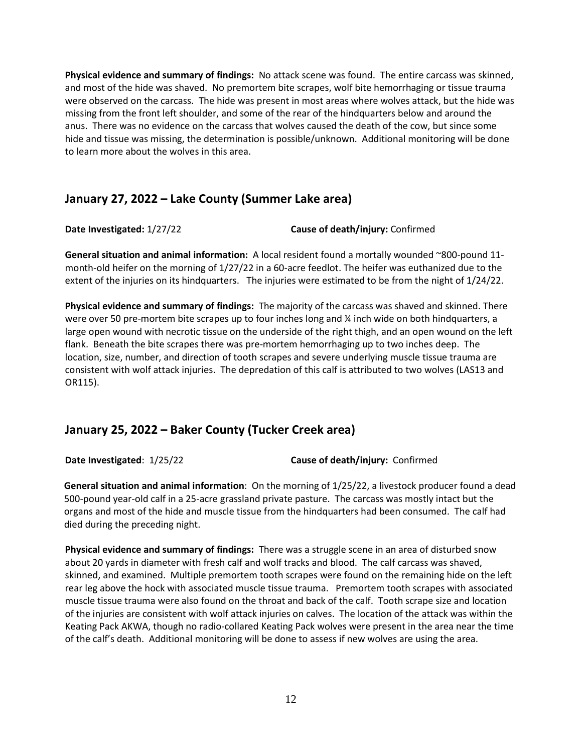**Physical evidence and summary of findings:** No attack scene was found. The entire carcass was skinned, and most of the hide was shaved. No premortem bite scrapes, wolf bite hemorrhaging or tissue trauma were observed on the carcass. The hide was present in most areas where wolves attack, but the hide was missing from the front left shoulder, and some of the rear of the hindquarters below and around the anus. There was no evidence on the carcass that wolves caused the death of the cow, but since some hide and tissue was missing, the determination is possible/unknown. Additional monitoring will be done to learn more about the wolves in this area.

### **January 27, 2022 – Lake County (Summer Lake area)**

**Date Investigated:** 1/27/22 **Cause of death/injury:** Confirmed

**General situation and animal information:** A local resident found a mortally wounded ~800-pound 11 month-old heifer on the morning of 1/27/22 in a 60-acre feedlot. The heifer was euthanized due to the extent of the injuries on its hindquarters. The injuries were estimated to be from the night of 1/24/22.

**Physical evidence and summary of findings:** The majority of the carcass was shaved and skinned. There were over 50 pre-mortem bite scrapes up to four inches long and  $\frac{1}{4}$  inch wide on both hindquarters, a large open wound with necrotic tissue on the underside of the right thigh, and an open wound on the left flank. Beneath the bite scrapes there was pre-mortem hemorrhaging up to two inches deep. The location, size, number, and direction of tooth scrapes and severe underlying muscle tissue trauma are consistent with wolf attack injuries. The depredation of this calf is attributed to two wolves (LAS13 and OR115).

### **January 25, 2022 – Baker County (Tucker Creek area)**

**Date Investigated**: 1/25/22 **Cause of death/injury:** Confirmed

**General situation and animal information**: On the morning of 1/25/22, a livestock producer found a dead 500-pound year-old calf in a 25-acre grassland private pasture. The carcass was mostly intact but the organs and most of the hide and muscle tissue from the hindquarters had been consumed. The calf had died during the preceding night.

**Physical evidence and summary of findings:** There was a struggle scene in an area of disturbed snow about 20 yards in diameter with fresh calf and wolf tracks and blood. The calf carcass was shaved, skinned, and examined. Multiple premortem tooth scrapes were found on the remaining hide on the left rear leg above the hock with associated muscle tissue trauma. Premortem tooth scrapes with associated muscle tissue trauma were also found on the throat and back of the calf. Tooth scrape size and location of the injuries are consistent with wolf attack injuries on calves. The location of the attack was within the Keating Pack AKWA, though no radio-collared Keating Pack wolves were present in the area near the time of the calf's death. Additional monitoring will be done to assess if new wolves are using the area.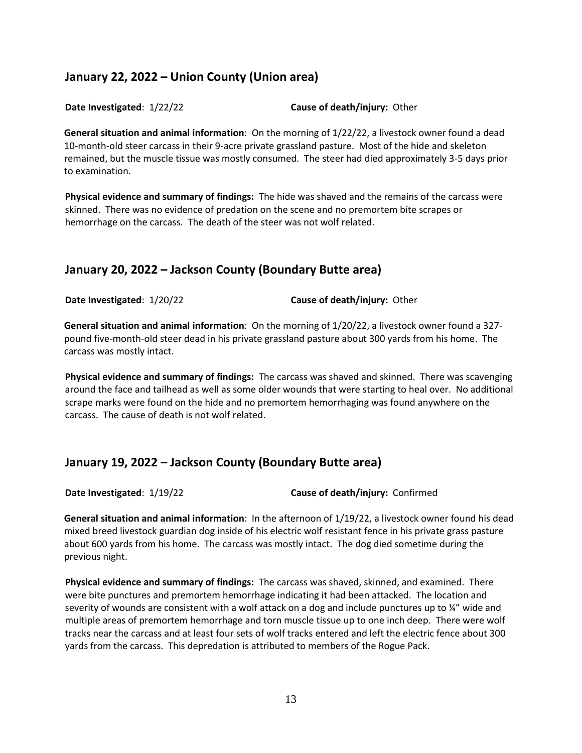## **January 22, 2022 – Union County (Union area)**

**Date Investigated**: 1/22/22 **Cause of death/injury:** Other

**General situation and animal information**: On the morning of 1/22/22, a livestock owner found a dead 10-month-old steer carcass in their 9-acre private grassland pasture. Most of the hide and skeleton remained, but the muscle tissue was mostly consumed. The steer had died approximately 3-5 days prior to examination.

**Physical evidence and summary of findings:** The hide was shaved and the remains of the carcass were skinned. There was no evidence of predation on the scene and no premortem bite scrapes or hemorrhage on the carcass. The death of the steer was not wolf related.

# **January 20, 2022 – Jackson County (Boundary Butte area)**

**Date Investigated**: 1/20/22 **Cause of death/injury:** Other

**General situation and animal information**: On the morning of 1/20/22, a livestock owner found a 327 pound five-month-old steer dead in his private grassland pasture about 300 yards from his home. The carcass was mostly intact.

**Physical evidence and summary of findings:** The carcass was shaved and skinned. There was scavenging around the face and tailhead as well as some older wounds that were starting to heal over. No additional scrape marks were found on the hide and no premortem hemorrhaging was found anywhere on the carcass. The cause of death is not wolf related.

# **January 19, 2022 – Jackson County (Boundary Butte area)**

**Date Investigated**: 1/19/22 **Cause of death/injury:** Confirmed

**General situation and animal information**: In the afternoon of 1/19/22, a livestock owner found his dead mixed breed livestock guardian dog inside of his electric wolf resistant fence in his private grass pasture about 600 yards from his home. The carcass was mostly intact. The dog died sometime during the previous night.

**Physical evidence and summary of findings:** The carcass was shaved, skinned, and examined. There were bite punctures and premortem hemorrhage indicating it had been attacked. The location and severity of wounds are consistent with a wolf attack on a dog and include punctures up to ¼" wide and multiple areas of premortem hemorrhage and torn muscle tissue up to one inch deep. There were wolf tracks near the carcass and at least four sets of wolf tracks entered and left the electric fence about 300 yards from the carcass. This depredation is attributed to members of the Rogue Pack.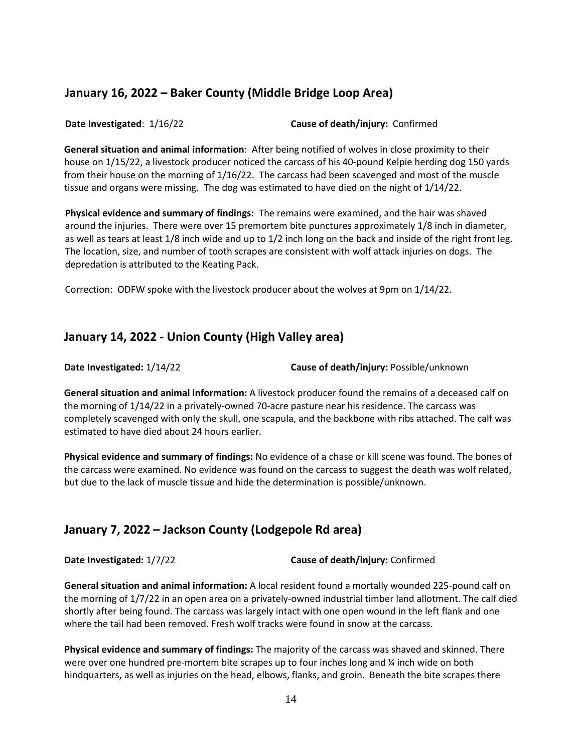### **January 16, 2022 – Baker County (Middle Bridge Loop Area)**

**Date Investigated**: 1/16/22 **Cause of death/injury:** Confirmed

**General situation and animal information**: After being notified of wolves in close proximity to their house on 1/15/22, a livestock producer noticed the carcass of his 40-pound Kelpie herding dog 150 yards from their house on the morning of 1/16/22. The carcass had been scavenged and most of the muscle tissue and organs were missing. The dog was estimated to have died on the night of 1/14/22.

**Physical evidence and summary of findings:** The remains were examined, and the hair was shaved around the injuries. There were over 15 premortem bite punctures approximately 1/8 inch in diameter, as well as tears at least 1/8 inch wide and up to 1/2 inch long on the back and inside of the right front leg. The location, size, and number of tooth scrapes are consistent with wolf attack injuries on dogs. The depredation is attributed to the Keating Pack.

Correction: ODFW spoke with the livestock producer about the wolves at 9pm on 1/14/22.

### **January 14, 2022 - Union County (High Valley area)**

**Date Investigated:** 1/14/22 **Cause of death/injury:** Possible/unknown

**General situation and animal information:** A livestock producer found the remains of a deceased calf on the morning of 1/14/22 in a privately-owned 70-acre pasture near his residence. The carcass was completely scavenged with only the skull, one scapula, and the backbone with ribs attached. The calf was estimated to have died about 24 hours earlier.

**Physical evidence and summary of findings:** No evidence of a chase or kill scene was found. The bones of the carcass were examined. No evidence was found on the carcass to suggest the death was wolf related, but due to the lack of muscle tissue and hide the determination is possible/unknown.

# **January 7, 2022 – Jackson County (Lodgepole Rd area)**

**Date Investigated:** 1/7/22 **Cause of death/injury:** Confirmed

**General situation and animal information:** A local resident found a mortally wounded 225-pound calf on the morning of 1/7/22 in an open area on a privately-owned industrial timber land allotment. The calf died shortly after being found. The carcass was largely intact with one open wound in the left flank and one where the tail had been removed. Fresh wolf tracks were found in snow at the carcass.

**Physical evidence and summary of findings:** The majority of the carcass was shaved and skinned. There were over one hundred pre-mortem bite scrapes up to four inches long and  $\frac{1}{4}$  inch wide on both hindquarters, as well as injuries on the head, elbows, flanks, and groin. Beneath the bite scrapes there